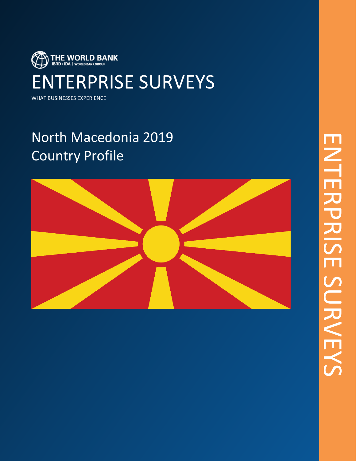

WHAT BUSINESSES EXPERIENCE

## North Macedonia 2019 Country Profile

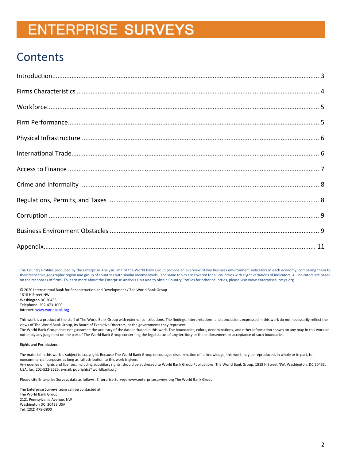### **Contents**

The Country Profiles produced by the Enterprise Analysis Unit of the World Bank Group provide an overview of key business environment indicators in each economy, comparing them to their respective geographic region and group of countries with similar income levels. The same topics are covered for all countries with slight variations of indicators. All indicators are based on the responses of firms. To learn more about the Enterprise Analysis Unit and to obtain Country Profiles for other countries, please visit www.enterprisesurveys.org

© 2020 International Bank for Reconstruction and Development / The World Bank Group 1818 H Street NW Washington DC 20433 Telephone: 202-473-1000 Internet[: www.worldbank.org](http://www.worldbank.org/)

This work is a product of the staff of The World Bank Group with external contributions. The findings, interpretations, and conclusions expressed in this work do not necessarily reflect the views of The World Bank Group, its Board of Executive Directors, or the governments they represent. The World Bank Group does not guarantee the accuracy of the data included in this work. The boundaries, colors, denominations, and other information shown on any map in this work do not imply any judgment on the part of The World Bank Group concerning the legal status of any territory or the endorsement or acceptance of such boundaries.

Rights and Permissions

The material in this work is subject to copyright. Because The World Bank Group encourages dissemination of its knowledge, this work may be reproduced, in whole or in part, for noncommercial purposes as long as full attribution to this work is given. Any queries on rights and licenses, including subsidiary rights, should be addressed to World Bank Group Publications, The World Bank Group, 1818 H Street NW, Washington, DC 20433, USA; fax: 202-522-2625; e-mail: pubrights@worldbank.org.

Please cite Enterprise Surveys data as follows: Enterprise Surveys www.enterprisesurveys.org The World Bank Group.

The Enterprise Surveys team can be contacted at: The World Bank Group 2121 Pennsylvania Avenue, NW Washington DC, 20433 USA Tel. (202) 479-3800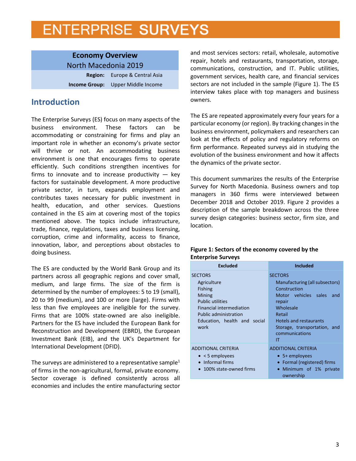<span id="page-2-0"></span>**Economy Overview** North Macedonia 2019 **Region:** Europe & Central Asia **Income Group:** Upper Middle Income

### **Introduction**

The Enterprise Surveys (ES) focus on many aspects of the business environment. These factors can be accommodating or constraining for firms and play an important role in whether an economy's private sector will thrive or not. An accommodating business environment is one that encourages firms to operate efficiently. Such conditions strengthen incentives for firms to innovate and to increase productivity  $-$  key factors for sustainable development. A more productive private sector, in turn, expands employment and contributes taxes necessary for public investment in health, education, and other services. Questions contained in the ES aim at covering most of the topics mentioned above. The topics include infrastructure, trade, finance, regulations, taxes and business licensing, corruption, crime and informality, access to finance, innovation, labor, and perceptions about obstacles to doing business.

The ES are conducted by the World Bank Group and its partners across all geographic regions and cover small, medium, and large firms. The size of the firm is determined by the number of employees: 5 to 19 (small), 20 to 99 (medium), and 100 or more (large). Firms with less than five employees are ineligible for the survey. Firms that are 100% state-owned are also ineligible. Partners for the ES have included the European Bank for Reconstruction and Development (EBRD), the European Investment Bank (EIB), and the UK's Department for International Development (DFID).

The surveys are administered to a representative sample<sup>1</sup> of firms in the non-agricultural, formal, private economy. Sector coverage is defined consistently across all economies and includes the entire manufacturing sector

and most services sectors: retail, wholesale, automotive repair, hotels and restaurants, transportation, storage, communications, construction, and IT. Public utilities, government services, health care, and financial services sectors are not included in the sample (Figure 1). The ES interview takes place with top managers and business owners.

The ES are repeated approximately every four years for a particular economy (or region). By tracking changes in the business environment, policymakers and researchers can look at the effects of policy and regulatory reforms on firm performance. Repeated surveys aid in studying the evolution of the business environment and how it affects the dynamics of the private sector.

This document summarizes the results of the Enterprise Survey for North Macedonia. Business owners and top managers in 360 firms were interviewed between December 2018 and October 2019. Figure 2 provides a description of the sample breakdown across the three survey design categories: business sector, firm size, and location.

#### **Figure 1: Sectors of the economy covered by the Enterprise Surveys**

| <b>Excluded</b>                                                                                                                                                                                 | <b>Included</b>                                                                                                                                                                                                           |  |  |  |  |  |  |  |
|-------------------------------------------------------------------------------------------------------------------------------------------------------------------------------------------------|---------------------------------------------------------------------------------------------------------------------------------------------------------------------------------------------------------------------------|--|--|--|--|--|--|--|
| <b>SECTORS</b><br>Agriculture<br><b>Fishing</b><br>Mining<br><b>Public utilities</b><br><b>Financial intermediation</b><br><b>Public administration</b><br>Education, health and social<br>work | <b>SECTORS</b><br>Manufacturing (all subsectors)<br>Construction<br>Motor vehicles sales<br>and<br>repair<br>Wholesale<br>Retail<br><b>Hotels and restaurants</b><br>Storage, transportation, and<br>communications<br>ΙT |  |  |  |  |  |  |  |
| <b>ADDITIONAL CRITERIA</b><br>$\bullet$ < 5 employees<br>• Informal firms<br>100% state-owned firms                                                                                             | <b>ADDITIONAL CRITERIA</b><br>$\bullet$ 5+ employees<br>• Formal (registered) firms<br>· Minimum of 1% private<br>ownership                                                                                               |  |  |  |  |  |  |  |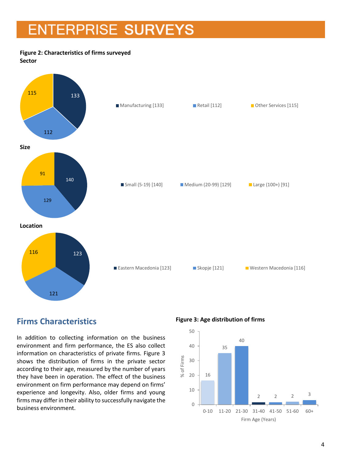#### **Figure 2: Characteristics of firms surveyed Sector**



### <span id="page-3-0"></span>**Firms Characteristics**

In addition to collecting information on the business environment and firm performance, the ES also collect information on characteristics of private firms. Figure 3 shows the distribution of firms in the private sector according to their age, measured by the number of years they have been in operation. The effect of the business environment on firm performance may depend on firms' experience and longevity. Also, older firms and young firms may differ in their ability to successfully navigate the business environment.

**Figure 3: Age distribution of firms**

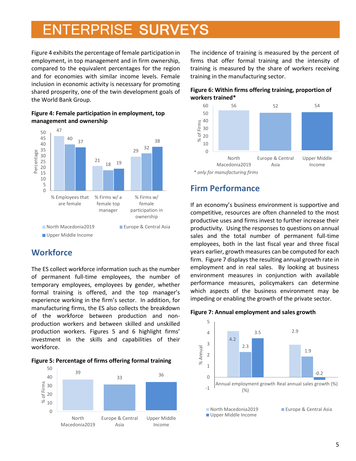Figure 4 exhibits the percentage of female participation in employment, in top management and in firm ownership, compared to the equivalent percentages for the region and for economies with similar income levels. Female inclusion in economic activity is necessary for promoting shared prosperity, one of the twin development goals of the World Bank Group.





### <span id="page-4-0"></span>**Workforce**

The ES collect workforce information such as the number of permanent full-time employees, the number of temporary employees, employees by gender, whether formal training is offered, and the top manager's experience working in the firm's sector. In addition, for manufacturing firms, the ES also collects the breakdown of the workforce between production and nonproduction workers and between skilled and unskilled production workers. Figures 5 and 6 highlight firms' investment in the skills and capabilities of their workforce.





The incidence of training is measured by the percent of firms that offer formal training and the intensity of training is measured by the share of workers receiving training in the manufacturing sector.





<span id="page-4-1"></span>*<sup>\*</sup> only for manufacturing firms*

### **Firm Performance**

If an economy's business environment is supportive and competitive, resources are often channeled to the most productive uses and firms invest to further increase their productivity. Using the responses to questions on annual sales and the total number of permanent full-time employees, both in the last fiscal year and three fiscal years earlier, growth measures can be computed for each firm. Figure 7 displays the resulting annual growth rate in employment and in real sales. By looking at business environment measures in conjunction with available performance measures, policymakers can determine which aspects of the business environment may be impeding or enabling the growth of the private sector.



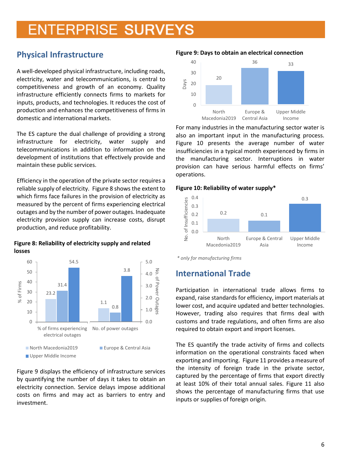### <span id="page-5-0"></span>**Physical Infrastructure**

A well-developed physical infrastructure, including roads, electricity, water and telecommunications, is central to competitiveness and growth of an economy. Quality infrastructure efficiently connects firms to markets for inputs, products, and technologies. It reduces the cost of production and enhances the competitiveness of firms in domestic and international markets.

The ES capture the dual challenge of providing a strong infrastructure for electricity, water supply and telecommunications in addition to information on the development of institutions that effectively provide and maintain these public services.

Efficiency in the operation of the private sector requires a reliable supply of electricity. Figure 8 shows the extent to which firms face failures in the provision of electricity as measured by the percent of firms experiencing electrical outages and by the number of power outages. Inadequate electricity provision supply can increase costs, disrupt production, and reduce profitability.

**Figure 8: Reliability of electricity supply and related losses**



Figure 9 displays the efficiency of infrastructure services by quantifying the number of days it takes to obtain an electricity connection. Service delays impose additional costs on firms and may act as barriers to entry and investment.

#### **Figure 9: Days to obtain an electrical connection**



For many industries in the manufacturing sector water is also an important input in the manufacturing process. Figure 10 presents the average number of water insufficiencies in a typical month experienced by firms in the manufacturing sector. Interruptions in water provision can have serious harmful effects on firms' operations.

#### **Figure 10: Reliability of water supply\***



*\* only for manufacturing firms*

### <span id="page-5-1"></span>**International Trade**

Participation in international trade allows firms to expand, raise standards for efficiency, import materials at lower cost, and acquire updated and better technologies. However, trading also requires that firms deal with customs and trade regulations, and often firms are also required to obtain export and import licenses.

The ES quantify the trade activity of firms and collects information on the operational constraints faced when exporting and importing. Figure 11 provides a measure of the intensity of foreign trade in the private sector, captured by the percentage of firms that export directly at least 10% of their total annual sales. Figure 11 also shows the percentage of manufacturing firms that use inputs or supplies of foreign origin.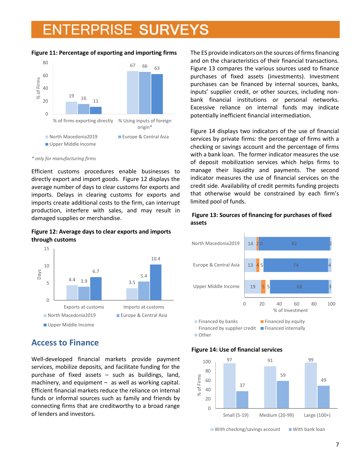#### **Figure 11: Percentage of exporting and importing firms**



*\* only for manufacturing firms*

Efficient customs procedures enable businesses to directly export and import goods. Figure 12 displays the average number of days to clear customs for exports and imports. Delays in clearing customs for exports and imports create additional costs to the firm, can interrupt production, interfere with sales, and may result in damaged supplies or merchandise.

**Figure 12: Average days to clear exports and imports through customs**



### <span id="page-6-0"></span>**Access to Finance**

Well-developed financial markets provide payment services, mobilize deposits, and facilitate funding for the purchase of fixed assets – such as buildings, land, machinery, and equipment  $-$  as well as working capital. Efficient financial markets reduce the reliance on internal funds or informal sources such as family and friends by connecting firms that are creditworthy to a broad range of lenders and investors.

The ES provide indicators on the sources of firms financing and on the characteristics of their financial transactions. Figure 13 compares the various sources used to finance purchases of fixed assets (investments). Investment purchases can be financed by internal sources, banks, inputs' supplier credit, or other sources, including nonbank financial institutions or personal networks. Excessive reliance on internal funds may indicate potentially inefficient financial intermediation.

Figure 14 displays two indicators of the use of financial services by private firms: the percentage of firms with a checking or savings account and the percentage of firms with a bank loan. The former indicator measures the use of deposit mobilization services which helps firms to manage their liquidity and payments. The second indicator measures the use of financial services on the credit side. Availability of credit permits funding projects that otherwise would be constrained by each firm's limited pool of funds.

#### **Figure 13: Sources of financing for purchases of fixed assets**



#### **Figure 14: Use of financial services**



 $\blacksquare$  With checking/savings account  $\blacksquare$  With bank loan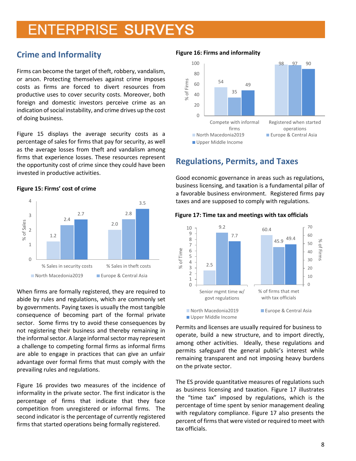### <span id="page-7-0"></span>**Crime and Informality**

Firms can become the target of theft, robbery, vandalism, or arson. Protecting themselves against crime imposes costs as firms are forced to divert resources from productive uses to cover security costs. Moreover, both foreign and domestic investors perceive crime as an indication of social instability, and crime drives up the cost of doing business.

Figure 15 displays the average security costs as a percentage of sales for firms that pay for security, as well as the average losses from theft and vandalism among firms that experience losses. These resources represent the opportunity cost of crime since they could have been invested in productive activities.

#### **Figure 15: Firms' cost of crime**



When firms are formally registered, they are required to abide by rules and regulations, which are commonly set by governments. Paying taxes is usually the most tangible consequence of becoming part of the formal private sector. Some firms try to avoid these consequences by not registering their business and thereby remaining in the informal sector. A large informal sector may represent a challenge to competing formal firms as informal firms are able to engage in practices that can give an unfair advantage over formal firms that must comply with the prevailing rules and regulations.

Figure 16 provides two measures of the incidence of informality in the private sector. The first indicator is the percentage of firms that indicate that they face competition from unregistered or informal firms. The second indicator is the percentage of currently registered firms that started operations being formally registered.

#### **Figure 16: Firms and informality**



### <span id="page-7-1"></span>**Regulations, Permits, and Taxes**

Good economic governance in areas such as regulations, business licensing, and taxation is a fundamental pillar of a favorable business environment. Registered firms pay taxes and are supposed to comply with regulations.



#### **Figure 17: Time tax and meetings with tax officials**

Permits and licenses are usually required for business to operate, build a new structure, and to import directly, among other activities. Ideally, these regulations and permits safeguard the general public's interest while remaining transparent and not imposing heavy burdens on the private sector.

The ES provide quantitative measures of regulations such as business licensing and taxation. Figure 17 illustrates the "time tax" imposed by regulations, which is the percentage of time spent by senior management dealing with regulatory compliance. Figure 17 also presents the percent of firms that were visted or required to meet with tax officials.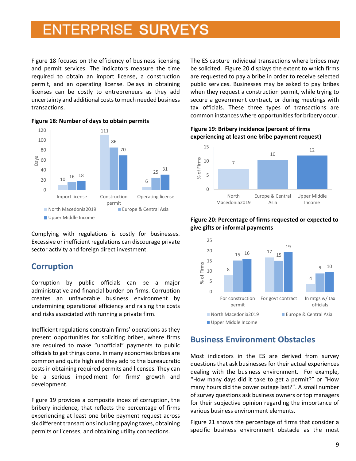Figure 18 focuses on the efficiency of business licensing and permit services. The indicators measure the time required to obtain an import license, a construction permit, and an operating license. Delays in obtaining licenses can be costly to entrepreneurs as they add uncertainty and additional costs to much needed business transactions.



**Figure 18: Number of days to obtain permits** 

Complying with regulations is costly for businesses. Excessive or inefficient regulations can discourage private sector activity and foreign direct investment.

### <span id="page-8-0"></span>**Corruption**

Corruption by public officials can be a major administrative and financial burden on firms. Corruption creates an unfavorable business environment by undermining operational efficiency and raising the costs and risks associated with running a private firm.

Inefficient regulations constrain firms' operations as they present opportunities for soliciting bribes, where firms are required to make "unofficial" payments to public officials to get things done. In many economies bribes are common and quite high and they add to the bureaucratic costs in obtaining required permits and licenses. They can be a serious impediment for firms' growth and development.

Figure 19 provides a composite index of corruption, the bribery incidence, that reflects the percentage of firms experiencing at least one bribe payment request across six different transactions including paying taxes, obtaining permits or licenses, and obtaining utility connections.

The ES capture individual transactions where bribes may be solicited. Figure 20 displays the extent to which firms are requested to pay a bribe in order to receive selected public services. Businesses may be asked to pay bribes when they request a construction permit, while trying to secure a government contract, or during meetings with tax officials. These three types of transactions are common instances where opportunities for bribery occur.

#### **Figure 19: Bribery incidence (percent of firms experiencing at least one bribe payment request)**





#### **Figure 20: Percentage of firms requested or expected to give gifts or informal payments**

### <span id="page-8-1"></span>**Business Environment Obstacles**

Most indicators in the ES are derived from survey questions that ask businesses for their actual experiences dealing with the business environment. For example, "How many days did it take to get a permit?" or "How many hours did the power outage last?". A small number of survey questions ask business owners or top managers for their subjective opinion regarding the importance of various business environment elements.

Figure 21 shows the percentage of firms that consider a specific business environment obstacle as the most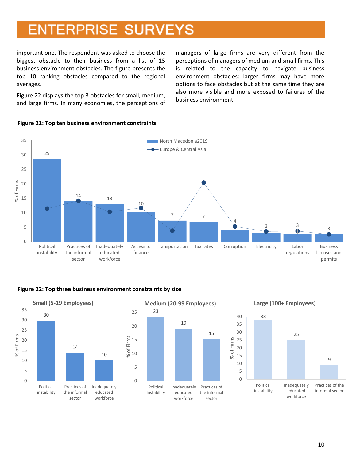important one. The respondent was asked to choose the biggest obstacle to their business from a list of 15 business environment obstacles. The figure presents the top 10 ranking obstacles compared to the regional averages.

Figure 22 displays the top 3 obstacles for small, medium, and large firms. In many economies, the perceptions of managers of large firms are very different from the perceptions of managers of medium and small firms. This is related to the capacity to navigate business environment obstacles: larger firms may have more options to face obstacles but at the same time they are also more visible and more exposed to failures of the business environment.



#### **Figure 21: Top ten business environment constraints**

#### **Figure 22: Top three business environment constraints by size**

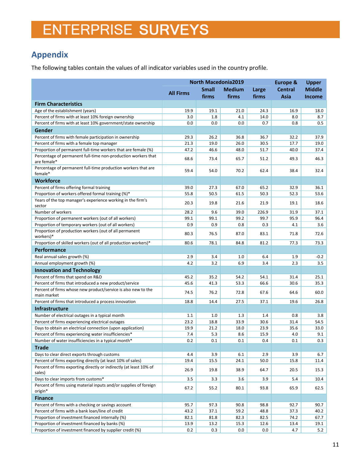### <span id="page-10-0"></span>**Appendix**

The following tables contain the values of all indicator variables used in the country profile.

|                                                                                                              | <b>North Macedonia2019</b> |              |               |             | <b>Europe &amp;</b> | <b>Upper</b>  |
|--------------------------------------------------------------------------------------------------------------|----------------------------|--------------|---------------|-------------|---------------------|---------------|
|                                                                                                              |                            | <b>Small</b> | <b>Medium</b> | Large       | <b>Central</b>      | <b>Middle</b> |
|                                                                                                              | <b>All Firms</b>           | firms        | firms         | firms       | Asia                | Income        |
| <b>Firm Characteristics</b>                                                                                  |                            |              |               |             |                     |               |
| Age of the establishment (years)                                                                             | 19.9                       | 19.1         | 21.0          | 24.3        | 16.9                | 18.0          |
| Percent of firms with at least 10% foreign ownership                                                         | 3.0                        | 1.8          | 4.1           | 14.0        | 8.0                 | 8.7           |
| Percent of firms with at least 10% government/state ownership                                                | 0.0                        | 0.0          | 0.0           | 0.7         | 0.8                 | 0.5           |
| Gender                                                                                                       |                            |              |               |             |                     |               |
| Percent of firms with female participation in ownership                                                      | 29.3                       | 26.2         | 36.8          | 36.7        | 32.2                | 37.9          |
| Percent of firms with a female top manager                                                                   | 21.3                       | 19.0         | 26.0          | 30.5        | 17.7                | 19.0          |
| Proportion of permanent full-time workers that are female (%)                                                | 47.2                       | 46.6         | 48.0          | 51.7        | 40.0                | 37.4          |
| Percentage of permanent full-time non-production workers that                                                |                            |              |               |             |                     |               |
| are female*                                                                                                  | 68.6                       | 73.4         | 65.7          | 51.2        | 49.3                | 46.3          |
| Percentage of permanent full-time production workers that are                                                | 59.4                       | 54.0         | 70.2          | 62.4        | 38.4                | 32.4          |
| female*                                                                                                      |                            |              |               |             |                     |               |
| <b>Workforce</b>                                                                                             |                            |              |               |             |                     |               |
| Percent of firms offering formal training                                                                    | 39.0                       | 27.3         | 67.0          | 65.2        | 32.9                | 36.1          |
| Proportion of workers offered formal training (%)*                                                           | 55.8                       | 50.5         | 61.5          | 50.3        | 52.3                | 53.6          |
| Years of the top manager's experience working in the firm's                                                  | 20.3                       | 19.8         | 21.6          | 21.9        | 19.1                | 18.6          |
| sector                                                                                                       |                            |              |               |             |                     |               |
| Number of workers                                                                                            | 28.2                       | 9.6          | 39.0          | 226.9       | 31.9                | 37.1          |
| Proportion of permanent workers (out of all workers)<br>Proportion of temporary workers (out of all workers) | 99.1<br>0.9                | 99.1<br>0.9  | 99.2<br>0.8   | 99.7<br>0.3 | 95.9                | 96.4<br>3.6   |
| Proportion of production workers (out of all permanent                                                       |                            |              |               |             | 4.1                 |               |
| workers)*                                                                                                    | 80.3                       | 76.5         | 87.0          | 83.1        | 71.8                | 72.6          |
| Proportion of skilled workers (out of all production workers)*                                               | 80.6                       | 78.1         | 84.8          | 81.2        | 77.3                | 73.3          |
| <b>Performance</b>                                                                                           |                            |              |               |             |                     |               |
| Real annual sales growth (%)                                                                                 | 2.9                        | 3.4          | 1.0           | 6.4         | 1.9                 | $-0.2$        |
| Annual employment growth (%)                                                                                 | 4.2                        | 3.2          | 6.9           | 3.4         | 2.3                 | 3.5           |
| <b>Innovation and Technology</b>                                                                             |                            |              |               |             |                     |               |
| Percent of firms that spend on R&D                                                                           | 45.2                       | 35.2         | 54.2          | 54.1        | 31.4                | 25.1          |
| Percent of firms that introduced a new product/service                                                       | 45.6                       | 41.3         | 53.3          | 66.6        | 30.6                | 35.3          |
| Percent of firms whose new product/service is also new to the                                                | 74.5                       | 76.2         | 72.8          | 67.6        | 64.6                | 60.0          |
| main market                                                                                                  |                            |              |               |             |                     |               |
| Percent of firms that introduced a process innovation                                                        | 18.8                       | 14.4         | 27.5          | 37.1        | 19.6                | 26.8          |
| <b>Infrastructure</b>                                                                                        |                            |              |               |             |                     |               |
| Number of electrical outages in a typical month                                                              | 1.1                        | 1.0          | 1.3           | 1.4         | 0.8                 | 3.8           |
| Percent of firms experiencing electrical outages                                                             | 23.2                       | 18.8         | 33.9          | 30.6        | 31.4                | 54.5          |
| Days to obtain an electrical connection (upon application)                                                   | 19.9                       | 21.2         | 18.0          | 23.9        | 35.6                | 33.0          |
| Percent of firms experiencing water insufficiencies*                                                         | 7.4                        | 5.3          | 8.6           | 15.9        | 4.0                 | 9.1           |
| Number of water insufficiencies in a typical month*                                                          | 0.2                        | 0.1          | 0.1           | 0.4         | 0.1                 | 0.3           |
| <b>Trade</b>                                                                                                 |                            |              |               |             |                     |               |
| Days to clear direct exports through customs                                                                 | 4.4                        | 3.9          | 6.1           | 2.9         | 3.9                 | 6.7           |
| Percent of firms exporting directly (at least 10% of sales)                                                  | 19.4                       | 15.5         | 24.1          | 50.0        | 15.8                | 11.4          |
| Percent of firms exporting directly or indirectly (at least 10% of<br>sales)                                 | 26.9                       | 19.8         | 38.9          | 64.7        | 20.5                | 15.3          |
| Days to clear imports from customs*                                                                          | 3.5                        | 3.3          | 3.6           | 3.9         | 5.4                 | 10.4          |
| Percent of firms using material inputs and/or supplies of foreign                                            |                            |              |               |             |                     |               |
| origin*                                                                                                      | 67.2                       | 55.2         | 80.1          | 93.8        | 65.9                | 62.5          |
| <b>Finance</b>                                                                                               |                            |              |               |             |                     |               |
| Percent of firms with a checking or savings account                                                          | 95.7                       | 97.3         | 90.8          | 98.8        | 92.7                | 90.7          |
| Percent of firms with a bank loan/line of credit                                                             | 43.2                       | 37.1         | 59.2          | 48.8        | 37.3                | 40.2          |
| Proportion of investment financed internally (%)                                                             | 82.1                       | 81.8         | 82.3          | 82.5        | 74.2                | 67.7          |
| Proportion of investment financed by banks (%)                                                               | 13.9                       | 13.2         | 15.3          | 12.6        | 13.4                | 19.1          |
| Proportion of investment financed by supplier credit (%)                                                     | 0.2                        | 0.3          | $0.0\,$       | 0.0         | 4.7                 | 5.2           |